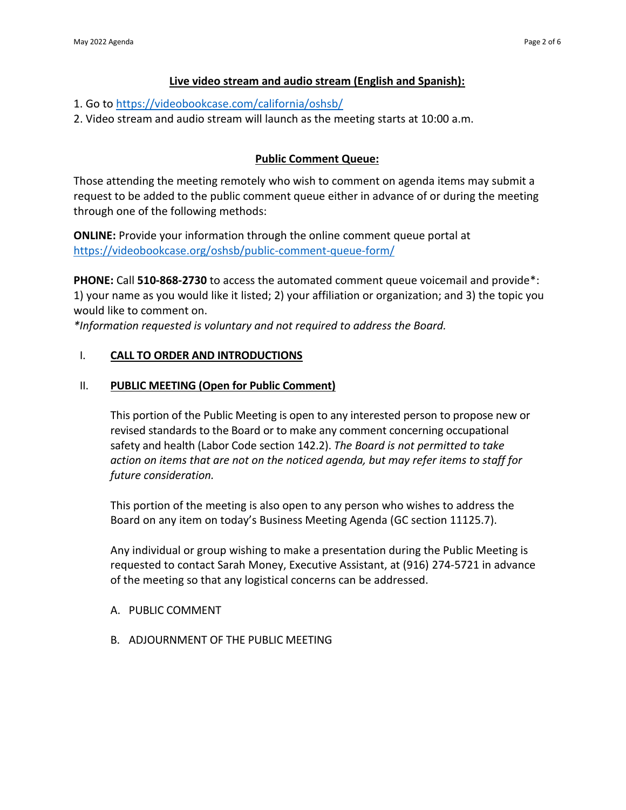# **Live video stream and audio stream (English and Spanish):**

- 1. Go to<https://videobookcase.com/california/oshsb/>
- 2. Video stream and audio stream will launch as the meeting starts at 10:00 a.m.

## **Public Comment Queue:**

 Those attending the meeting remotely who wish to comment on agenda items may submit a request to be added to the public comment queue either in advance of or during the meeting through one of the following methods:

 **ONLINE:** Provide your information through the online comment queue portal at <https://videobookcase.org/oshsb/public-comment-queue-form/>

 **PHONE:** Call **510-868-2730** to access the automated comment queue voicemail and provide\*: 1) your name as you would like it listed; 2) your affiliation or organization; and 3) the topic you would like to comment on.

 *\*Information requested is voluntary and not required to address the Board.* 

## I. **CALL TO ORDER AND INTRODUCTIONS**

## II. **PUBLIC MEETING (Open for Public Comment)**

 This portion of the Public Meeting is open to any interested person to propose new or revised standards to the Board or to make any comment concerning occupational safety and health (Labor Code section 142.2). *The Board is not permitted to take action on items that are not on the noticed agenda, but may refer items to staff for future consideration.* 

 This portion of the meeting is also open to any person who wishes to address the Board on any item on today's Business Meeting Agenda (GC section 11125.7).

 Any individual or group wishing to make a presentation during the Public Meeting is requested to contact Sarah Money, Executive Assistant, at (916) 274-5721 in advance of the meeting so that any logistical concerns can be addressed.

- A. PUBLIC COMMENT
- B. ADJOURNMENT OF THE PUBLIC MEETING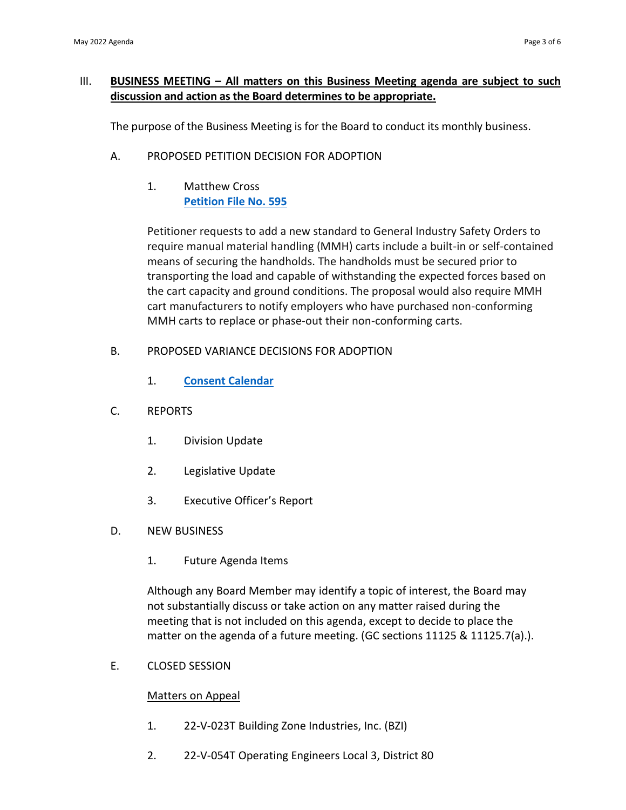## III. **BUSINESS MEETING – All matters on this Business Meeting agenda are subject to such discussion and action as the Board determines to be appropriate.**

The purpose of the Business Meeting is for the Board to conduct its monthly business.

- A. PROPOSED PETITION DECISION FOR ADOPTION
	- **[Petition File No. 595](https://www.dir.ca.gov/oshsb/petition-595.html)**  1. Matthew Cross

 Petitioner requests to add a new standard to General Industry Safety Orders to require manual material handling (MMH) carts include a built-in or self-contained means of securing the handholds. The handholds must be secured prior to transporting the load and capable of withstanding the expected forces based on the cart capacity and ground conditions. The proposal would also require MMH cart manufacturers to notify employers who have purchased non-conforming MMH carts to replace or phase-out their non-conforming carts.

- B. PROPOSED VARIANCE DECISIONS FOR ADOPTION
	- 1. **[Consent Calendar](https://www.dir.ca.gov/oshsb/propvariancedecisions.html)**
- C. REPORTS
	- 1. Division Update
	- 2. Legislative Update
	- 3. Executive Officer's Report
- D. NEW BUSINESS
	- 1. Future Agenda Items

 Although any Board Member may identify a topic of interest, the Board may not substantially discuss or take action on any matter raised during the meeting that is not included on this agenda, except to decide to place the matter on the agenda of a future meeting. (GC sections 11125 & 11125.7(a).).

E. CLOSED SESSION

## Matters on Appeal

- 1. 22-V-023T Building Zone Industries, Inc. (BZI)
- 2. 22-V-054T Operating Engineers Local 3, District 80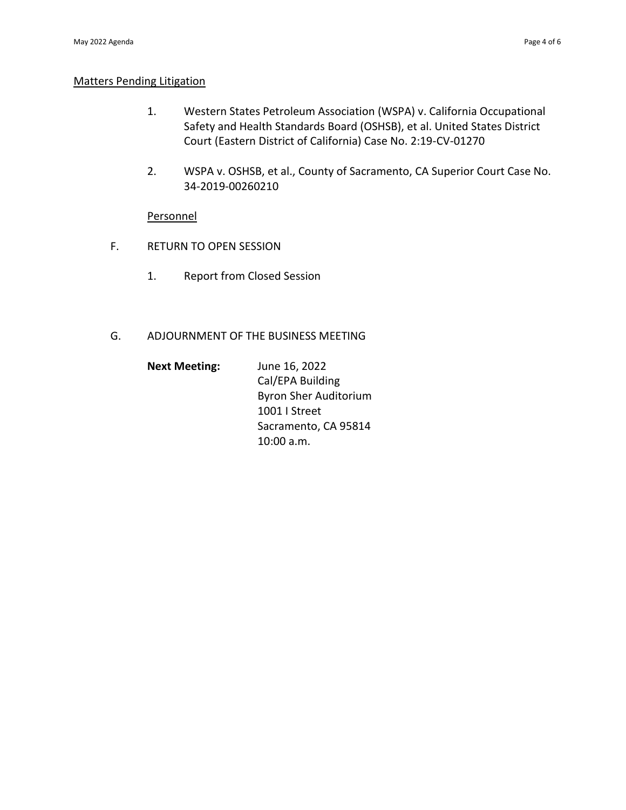#### Matters Pending Litigation

- 1. Western States Petroleum Association (WSPA) v. California Occupational Safety and Health Standards Board (OSHSB), et al. United States District Court (Eastern District of California) Case No. 2:19-CV-01270
- 2. WSPA v. OSHSB, et al., County of Sacramento, CA Superior Court Case No. 34-2019-00260210

#### Personnel

- F. RETURN TO OPEN SESSION
	- 1. Report from Closed Session

#### G. ADJOURNMENT OF THE BUSINESS MEETING

| <b>Next Meeting:</b> | June 16, 2022                |
|----------------------|------------------------------|
|                      | Cal/EPA Building             |
|                      | <b>Byron Sher Auditorium</b> |
|                      | 1001   Street                |
|                      | Sacramento, CA 95814         |
|                      | $10:00$ a.m.                 |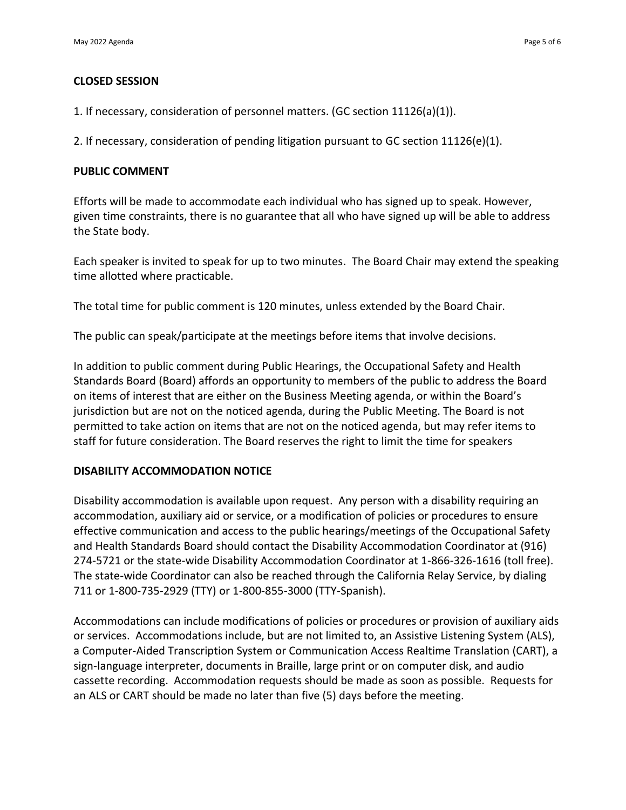## **CLOSED SESSION**

1. If necessary, consideration of personnel matters. (GC section 11126(a)(1)).

2. If necessary, consideration of pending litigation pursuant to GC section 11126(e)(1).

#### **PUBLIC COMMENT**

 Efforts will be made to accommodate each individual who has signed up to speak. However, given time constraints, there is no guarantee that all who have signed up will be able to address the State body.

 Each speaker is invited to speak for up to two minutes. The Board Chair may extend the speaking time allotted where practicable.

The total time for public comment is 120 minutes, unless extended by the Board Chair.

The public can speak/participate at the meetings before items that involve decisions.

In addition to public comment during Public Hearings, the Occupational Safety and Health Standards Board (Board) affords an opportunity to members of the public to address the Board on items of interest that are either on the Business Meeting agenda, or within the Board's jurisdiction but are not on the noticed agenda, during the Public Meeting. The Board is not permitted to take action on items that are not on the noticed agenda, but may refer items to staff for future consideration. The Board reserves the right to limit the time for speakers

#### **DISABILITY ACCOMMODATION NOTICE**

 Disability accommodation is available upon request. Any person with a disability requiring an accommodation, auxiliary aid or service, or a modification of policies or procedures to ensure effective communication and access to the public hearings/meetings of the Occupational Safety and Health Standards Board should contact the Disability Accommodation Coordinator at (916) 274-5721 or the state-wide Disability Accommodation Coordinator at 1-866-326-1616 (toll free). The state-wide Coordinator can also be reached through the California Relay Service, by dialing 711 or 1-800-735-2929 (TTY) or 1-800-855-3000 (TTY-Spanish).

 Accommodations can include modifications of policies or procedures or provision of auxiliary aids or services. Accommodations include, but are not limited to, an Assistive Listening System (ALS), a Computer-Aided Transcription System or Communication Access Realtime Translation (CART), a sign-language interpreter, documents in Braille, large print or on computer disk, and audio cassette recording. Accommodation requests should be made as soon as possible. Requests for an ALS or CART should be made no later than five (5) days before the meeting.